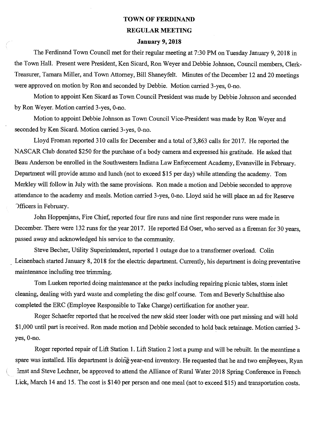## **TOWN OF FERDINAND REGULAR MEETING**

## **January 9, 2018**

The Ferdinand Town Council met for their regular meeting at 7:30 PM on Tuesday January 9, 2018 in the Town Hall. Present were President, Ken Sicard, Ron Weyer and Debbie Johnson, Council members, Clerk-Treasurer, Tamara Miller, and Town Attorney, Bill Shaneyfelt. Minutes of the December 12 and 20 meetings were approved on motion by Ron and seconded by Debbie. Motion carried 3-yes, 0-no.

Motion to appoint Ken Sicard as Town Council President was made by Debbie Johnson and seconded by Ron Weyer. Motion carried 3-yes, 0-no.

Motion to appoint Debbie Johnson as Town Council Vice-President was made by Ron Weyer and seconded by Ken Sicard. Motion carried 3-yes, 0-no.

Lloyd Froman reported 310 calls for December and a total of 3,863 calls for 2017. He reported the NASCAR Club donated \$250 for the purchase of a body camera and expressed his gratitude. He asked that Beau Anderson be enrolled in the Southwestern Indiana Law Enforcement Academy, Evansville in February. Department will provide ammo and lunch (not to exceed \$15 per day) while attending the academy. Tom Merkley will follow in July with the same provisions. Ron made a motion and Debbie seconded to approve attendance to the academy and meals. Motion carried 3-yes, 0-no. Lloyd said he will place an ad for Reserve -)fficers in February.

John Hoppenjans, Fire Chief, reported four fire runs and nine first responder runs were made in December. There were 132 runs for the year 2017. He reported Ed Oser, who served as a fireman for 30 years, passed away and acknowledged his service to the community.

Steve Becher, Utility Superintendent, reported 1 outage due to a transformer overload. Colin Leinenbach started January 8, 2018 for the electric department. Currently, his department is doing preventative maintenance including tree trimming.

Tom Lueken reported doing maintenance at the parks including repairing picnic tables, storm inlet cleaning, dealing with yard waste and completing the disc golf course. Tom and Beverly Schulthise also completed the ERC (Employee Responsible to Take Charge) certification for another year.

Roger Schaefer reported that he received the new skid steer loader with one part missing and will hold \$1,000 until part is received. Ron made motion and Debbie seconded to hold back retainage. Motion carried 3 yes, 0-no.

Roger reported repair of Lift Station 1. Lift Station 2 lost a pump and will be rebuilt. In the meantime a spare was installed. His department is doing-year-end inventory. He requested that he and two employees, Ryan Srnst and Steve Lechner, be approved to attend the Alliance of Rural Water 2018 Spring Conference in French Lick, March 14 and 15. The cost is \$140 per person and one meal (not to exceed \$15) and transportation costs.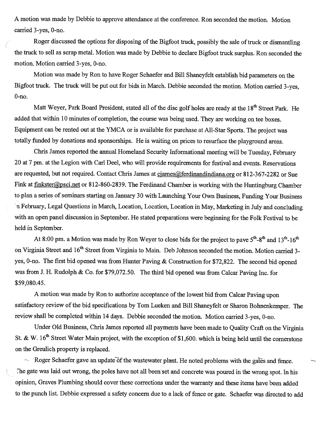A motion was made by Debbie to approve attendance at the conference. Ron seconded the motion. Motion carried 3-yes, 0-no.

C

Roger discussed the options for disposing of the Bigfoot truck, possibly the sale of truck or dismantling the truck to sell as scrap metal. Motion was made by Debbie to declare Bigfoot truck surplus. Ron seconded the motion. Motion carried 3-yes, 0-no.

Motion was made by Ron to have Roger Schaefer and Bill Shaneyfelt establish bid parameters on the Bigfoot truck. The truck will be put out for bids in March. Debbie seconded the motion. Motion carried 3-yes, 0-no.

Matt Weyer, Park Board President, stated all of the disc golf holes are ready at the 18<sup>th</sup> Street Park. He added that within 10 minutes of completion, the course was being used. They are working on tee boxes. Equipment can be rented out at the YMCA or is available for purchase at All-Star Sports. The project was totally fimded by donations and sponsorships. He is waiting on prices to resurface the playground areas.

Chris James reported the annual Homeland Security Informational meeting will be Tuesday, February 20 at 7 pm. at the Legion with Carl Deel, who will provide requirements for festival and events. Reservations are requested, but not required. Contact Chris James at ciames@ferdinandindiana.org or 812-367-2282 or Sue Fink at finkster@psci.net or 812-860-2839. The Ferdinand Chamber is working with the Huntingburg Chamber to plan a series of seminars starting on January 30 with Launching Your Own Business, Funding Your Business - n February, Legal Questions in March, Location, Location, Location in May, Marketing in July and concluding with an open panel discussion in September. He stated preparations were beginning for the Folk Festival to be held in September.

At 8:00 pm. a Motion was made by Ron Weyer to close bids for the project to pave  $5^{th}$ - $8^{th}$  and  $13^{th}$ - $16^{th}$ on Virginia Street and 16<sup>th</sup> Street from Virginia to Main. Deb Johnson seconded the motion. Motion carried 3yes, 0-no. The first bid opened was from Hunter Paving & Construction for \$72,822. The second bid opened was from J. H. Rudolph & Co. for \$79,072.50. The third bid opened was from Calcar Paving Inc. for \$59,080.45.

A motion was made by Ron to authorize acceptance of the lowest bid from Calcar Paving upon satisfactory review of the bid specifications by Tom Lueken and Bill Shaneyfelt or Sharon Bohnenkemper. The review shall be completed within 14 days. Debbie seconded the motion. Motion carried 3-yes, 0-no.

Under Old Business, Chris James reported all payments have been made to Quality Craft on the Virginia St. & W. 16<sup>th</sup> Street Water Main project, with the exception of \$1,600. which is being held until the cornerstone on the Greulich property is replaced.

- Roger Schaefer gave an update of the wastewater plant. He noted problems with the gates and fence. The gate was laid out wrong, the poles have not all been set and concrete was poured in the wrong spot. In his opinion, Graves Plumbing should cover these corrections under the warranty and these items have been added to the punch list. Debbie expressed a safety concern due to a lack of fence or gate. Schaefer was directed to add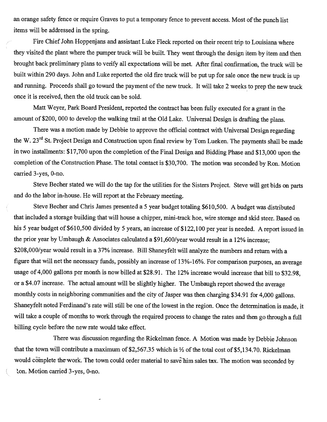an orange safety fence or require Graves to put a temporary fence to prevent access. Most of the punch list items will be addressed in the spring.

Fire Chief John Hoppenjans and assistant Luke Fleck reported on their recent trip to Louisiana where they visited the plant where the pumper truck will be built. They went through the design item by item and then brought back preliminary plans to verify all expectations will be met. After final confirmation, the truck will be built within 290 days. John and Luke reported the old fire truck will be put up for sale once the new truck is up and running. Proceeds shall go toward the payment of the new truck. It will take 2 weeks to prep the new truck once it is received, then the old truck can be sold.

Matt Weyer, Park Board President, reported the contract has been fully executed for a grant in the amount of \$200, 000 to develop the walking trail at the Old Lake. Universal Design is drafting the plans.

There was a motion made by Debbie to approve the official contract with Universal Design regarding the W. 23<sup>rd</sup> St. Project Design and Construction upon final review by Tom Lueken. The payments shall be made in two installments: \$17,700 upon the completion of the Final Design and Bidding Phase and \$13,000 upon the completion of the Construction Phase. The total contact is \$30,700. The motion was seconded by Ron. Motion carried 3-yes, 0-no.

Steve Becher stated we will do the tap for the utilities for the Sisters Project. Steve will get bids on parts and do the labor in-house. He will report at the February meeting.

Steve Becher and Chris James presented a 5 year budget totaling \$610,500. A budget was distributed that included a storage building that will house a chipper, mini-track hoe, wire storage and skid steer. Based on his 5 year budget of \$610,500 divided by 5 years, an increase of \$122,100 per year is needed. A report issued in the prior year by Umbaugh & Associates calculated a \$91,600/year would result in a 12% increase; \$208,000/year would result in a 37% increase. Bill Shaneyfelt will analyze the numbers and return with a figure that will net the necessary funds, possibly an increase of 13%-16%. For comparison purposes, an average usage of 4,000 gallons per month is now billed at \$28.91. The 12% increase would increase that bill to \$32.98, or a \$4.07 increase. The actual amount will be slightly higher. The Umbaugh report showed the average monthly costs in neighboring communities and the city of Jasper was then charging \$34.91 for 4,000 gallons. Shaneyfelt noted Ferdinand's rate will still be one of the lowest in the region. Once the determination is made, it will take a couple of months to work through the required process to change the rates and then go through a full billing cycle before the new rate would take effect.

There was discussion regarding the Rickelman fence. A Motion was made by Debbie Johnson that the town will contribute a maximum of \$2,567.35 which is  $\frac{1}{2}$  of the total cost of \$5,134.70. Rickelman would complete the work. The town could order material to save him sales tax. The motion was seconded by ton. Motion carried 3-yes, 0-no.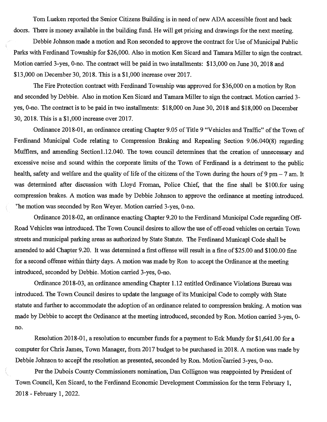Tom Lueken reported the Senior Citizens Building is in need of new ADA accessible front and back doors. There is money available in the building fund. He will get pricing and drawings for the next meeting.

Debbie Johnson made a motion and Ron seconded to approve the contract for Use of Municipal Public Parks with Ferdinand Township for \$26,000. Also in motion Ken Sicard and Tamara Miller to sign the contract. Motion carried 3-yes, 0-no. The contract will be paid in two installments: \$13,000 on June 30, 2018 and \$13,000 on December 30, 2018. This is a \$1,000 increase over 2017.

The Fire Protection contract with Ferdinand Township was approved for \$36,000 on a motion by Ron and seconded by Debbie. Also in motion Ken Sicard and Tamara Miller to sign the contract. Motion carried 3 yes, 0-no. The contract is to be paid in two installments: \$18,000 on June 30, 2018 and \$18,000 on December 30, 2018. This is a \$1,000 increase over 2017.

Ordinance 2018-01, an ordinance creating Chapter 9.05 of Title 9 "Vehicles and Traffic" of the Town of Ferdinand Municipal Code relating to Compression Braking and Repealing Section 9.06.040(8) regarding Mufflers, and amending Section1.12.040. The town council determines that the creation of unnecessary and excessive noise and sound within the corporate limits of the Town of Ferdinand is a detriment to the public health, safety and welfare and the quality of life of the citizens of the Town during the hours of 9 pm  $-7$  am. It was determined after discussion with Lloyd Froman, Police Chief, that the fine shall be \$100.for using compression brakes. A motion was made by Debbie Johnson to approve the ordinance at meeting introduced. The motion was seconded by Ron Weyer. Motion carried 3-yes, 0-no.

Ordinance 2018-02, an ordinance enacting Chapter 9.20 to the Ferdinand Municipal Code regarding Off-Road Vehicles was introduced. The Town Council desires to allow the use of off-road vehicles on certain Town streets and municipal parking areas as authorized by State Statute. The Ferdinand Municapl Code shall be amended to add Chapter 9.20. It was determined a first offense will result in a fine of \$25.00 and \$100.00 fine for a second offense within thirty days. A motion was made by Ron to accept the Ordinance at the meeting introduced, seconded by Debbie. Motion carried 3-yes, 0-no.

Ordinance 2018-03, an ordinance amending Chapter 1.12 entitled Ordinance Violations Bureau was introduced. The Town Council desires to update the language of its Municipal Code to comply with State statute and further to accommodate the adoption of an ordinance related to compression braking. A motion was made by Debbie to accept the Ordinance at the meeting introduced, seconded by Ron. Motion carried 3-yes, 0 no.

Resolution 2018-01, a resolution to encumber funds for a payment to Eck Mundy for \$1,641.00 for a computer for Chris James, Town Manager, from 2017 budget to be purchased in 2018. A motion was made by Debbie Johnson to accept the resolution as presented, seconded by Ron. Motion carried 3-yes, 0-no.

Per the Dubois County Commissioners nomination, Dan Collignon was reappointed by President of Town Council, Ken Sicard, to the Ferdinand Economic Development Commission for the term February 1, 2018 - February 1, 2022.